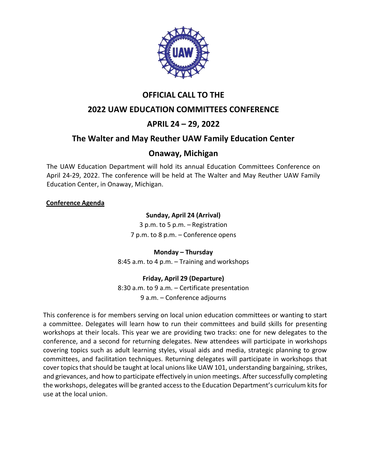

## **OFFICIAL CALL TO THE**

## **2022 UAW EDUCATION COMMITTEES CONFERENCE**

## **APRIL 24 – 29, 2022**

## **The Walter and May Reuther UAW Family Education Center**

## **Onaway, Michigan**

The UAW Education Department will hold its annual Education Committees Conference on April 24-29, 2022. The conference will be held at The Walter and May Reuther UAW Family Education Center, in Onaway, Michigan.

#### **Conference Agenda**

#### **Sunday, April 24 (Arrival)**

3 p.m. to 5 p.m. – Registration 7 p.m. to 8 p.m. – Conference opens

#### **Monday – Thursday**

8:45 a.m. to 4 p.m. – Training and workshops

#### **Friday, April 29 (Departure)**

8:30 a.m. to 9 a.m. – Certificate presentation 9 a.m. – Conference adjourns

This conference is for members serving on local union education committees or wanting to start a committee. Delegates will learn how to run their committees and build skills for presenting workshops at their locals. This year we are providing two tracks: one for new delegates to the conference, and a second for returning delegates. New attendees will participate in workshops covering topics such as adult learning styles, visual aids and media, strategic planning to grow committees, and facilitation techniques. Returning delegates will participate in workshops that cover topics that should be taught at local unions like UAW 101, understanding bargaining, strikes, and grievances, and how to participate effectively in union meetings. After successfully completing the workshops, delegates will be granted access to the Education Department's curriculum kits for use at the local union.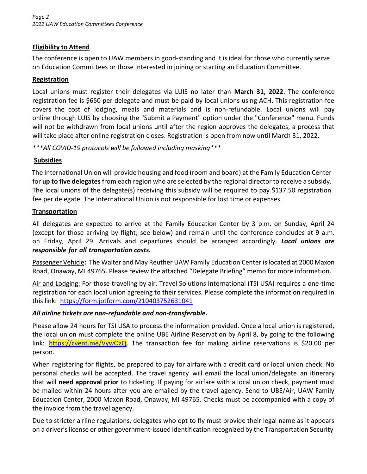#### **Eligibility to Attend**

The conference is open to UAW members in good-standing and it is ideal for those who currently serve on Education Committees or those interested in joining or starting an Education Committee.

#### **Registration**

Local unions must register their delegates via LUIS no later than **March 31, 2022**. The conference registration fee is \$650 per delegate and must be paid by local unions using ACH. This registration fee covers the cost of lodging, meals and materials and is non-refundable. Local unions will pay online through LUIS by choosing the "Submit a Payment" option under the "Conference" menu. Funds will not be withdrawn from local unions until after the region approves the delegates, a process that will take place after online registration closes. Registration is open from now until March 31, 2022.

*\*\*\*All COVID-19 protocols will be followed including masking\*\*\**

#### **Subsidies**

The International Union will provide housing and food (room and board) at the Family Education Center for **up to five delegates** from each region who are selected by the regional director to receive a subsidy. The local unions of the delegate(s) receiving this subsidy will be required to pay \$137.50 registration fee per delegate. The International Union is not responsible for lost time or expenses.

#### **Transportation**

All delegates are expected to arrive at the Family Education Center by 3 p.m. on Sunday, April 24 (except for those arriving by flight; see below) and remain until the conference concludes at 9 a.m. on Friday, April 29. Arrivals and departures should be arranged accordingly. *Local unions are responsible for all transportation costs.*

Passenger Vehicle**:** The Walter and May Reuther UAW Family Education Center islocated at 2000 Maxon Road, Onaway, MI 49765. Please review the attached "Delegate Briefing" memo for more information.

Air and Lodging: For those traveling by air, Travel Solutions International (TSI USA) requires a one-time registration for each local union agreeing to their services. Please complete the information required in this link: <https://form.jotform.com/210403752631041>

#### *All airline tickets are non-refundable and non-transferable***.**

Please allow 24 hours for TSI USA to process the information provided. Once a local union is registered, the local union must complete the online UBE Airline Reservation by April 8, by going to the following link: [https://cvent.me/VywOzQ.](https://cvent.me/VywOzQ) The transaction fee for making airline reservations is \$20.00 per person.

When registering for flights, be prepared to pay for airfare with a credit card or local union check. No personal checks will be accepted. The travel agency will email the local union/delegate an itinerary that will **need approval prior** to ticketing. If paying for airfare with a local union check, payment must be mailed within 24 hours after you are emailed by the travel agency. Send to UBE/Air, UAW Family Education Center, 2000 Maxon Road, Onaway, MI 49765. Checks must be accompanied with a copy of the invoice from the travel agency.

Due to stricter airline regulations, delegates who opt to fly must provide their legal name as it appears on a driver'slicense or other government-issued identification recognized by the Transportation Security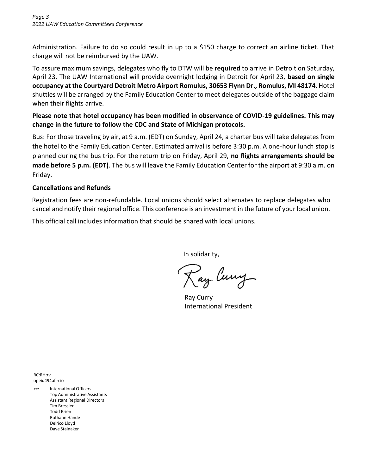Administration. Failure to do so could result in up to a \$150 charge to correct an airline ticket. That charge will not be reimbursed by the UAW.

To assure maximum savings, delegates who fly to DTW will be **required** to arrive in Detroit on Saturday, April 23. The UAW International will provide overnight lodging in Detroit for April 23, **based on single occupancy at the Courtyard Detroit Metro Airport Romulus, 30653 Flynn Dr., Romulus, MI 48174**. Hotel shuttles will be arranged by the Family Education Center to meet delegates outside of the baggage claim when their flights arrive.

#### **Please note that hotel occupancy has been modified in observance of COVID-19 guidelines. This may change in the future to follow the CDC and State of Michigan protocols.**

Bus: For those traveling by air, at 9 a.m. (EDT) on Sunday, April 24, a charter bus will take delegates from the hotel to the Family Education Center. Estimated arrival is before 3:30 p.m. A one-hour lunch stop is planned during the bus trip. For the return trip on Friday, April 29, **no flights arrangements should be made before 5 p.m. (EDT)**. The bus will leave the Family Education Center for the airport at 9:30 a.m. on Friday.

#### **Cancellations and Refunds**

Registration fees are non-refundable. Local unions should select alternates to replace delegates who cancel and notify their regional office. This conference is an investment in the future of your local union.

This official call includes information that should be shared with local unions.

In solidarity,

Ray Curry

Ray Curry International President

RC:RH:rv opeiu494afl-cio

cc: International Officers Top Administrative Assistants Assistant Regional Directors Tim Bressler Todd Brien Ruthann Hande Delrico Lloyd Dave Stalnaker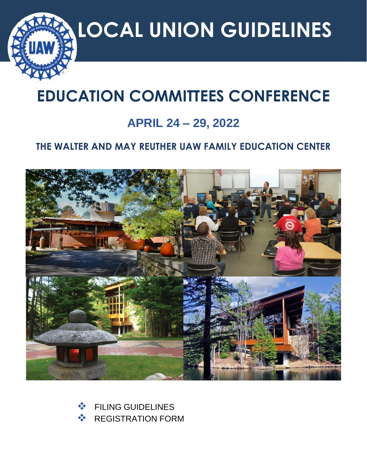

# **EDUCATION COMMITTEES CONFERENCE**

## **APRIL 24 – 29, 2022**

## **THE WALTER AND MAY REUTHER UAW FAMILY EDUCATION CENTER**



❖ FILING GUIDELINES **❖ REGISTRATION FORM**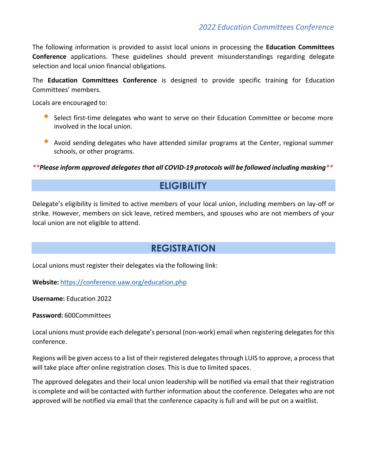The following information is provided to assist local unions in processing the **Education Committees Conference** applications. These guidelines should prevent misunderstandings regarding delegate selection and local union financial obligations.

The **Education Committees Conference** is designed to provide specific training for Education Committees' members.

Locals are encouraged to:

- Select first-time delegates who want to serve on their Education Committee or become more involved in the local union.
- Avoid sending delegates who have attended similar programs at the Center, regional summer schools, or other programs.

*\*\*Please inform approved delegates that all COVID-19 protocols will be followed including masking\*\**

## **ELIGIBILITY**

Delegate's eligibility is limited to active members of your local union, including members on lay-off or strike. However, members on sick leave, retired members, and spouses who are not members of your local union are not eligible to attend.

## **REGISTRATION**

Local unions must register their delegates via the following link:

**Website:** <https://conference.uaw.org/education.php>

**Username:** Education 2022

**Password:** 600Committees

Local unions must provide each delegate's personal (non-work) email when registering delegates for this conference.

Regions will be given access to a list of their registered delegates through LUIS to approve, a process that will take place after online registration closes. This is due to limited spaces.

The approved delegates and their local union leadership will be notified via email that their registration is complete and will be contacted with further information about the conference. Delegates who are not approved will be notified via email that the conference capacity is full and will be put on a waitlist.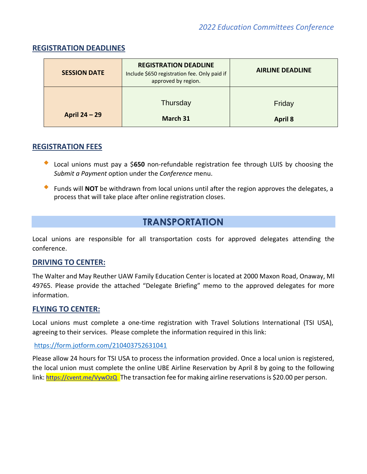| <b>SESSION DATE</b> | <b>REGISTRATION DEADLINE</b><br>Include \$650 registration fee. Only paid if<br>approved by region. | <b>AIRLINE DEADLINE</b> |
|---------------------|-----------------------------------------------------------------------------------------------------|-------------------------|
|                     | Thursday                                                                                            | Friday                  |
| April 24 – 29       | March 31                                                                                            | <b>April 8</b>          |

#### **REGISTRATION DEADLINES**

#### **REGISTRATION FEES**

- Local unions must pay <sup>a</sup> \$**<sup>650</sup>** non-refundable registration fee through LUIS by choosing the *Submit a Payment* option under the *Conference* menu.
- Funds will **NOT** be withdrawn from local unions until after the region approves the delegates, <sup>a</sup> process that will take place after online registration closes.

## **TRANSPORTATION**

Local unions are responsible for all transportation costs for approved delegates attending the conference.

#### **DRIVING TO CENTER:**

The Walter and May Reuther UAW Family Education Center is located at 2000 Maxon Road, Onaway, MI 49765. Please provide the attached "Delegate Briefing" memo to the approved delegates for more information.

#### **FLYING TO CENTER:**

Local unions must complete a one-time registration with Travel Solutions International (TSI USA), agreeing to their services. Please complete the information required in this link:

#### <https://form.jotform.com/210403752631041>

Please allow 24 hours for TSI USA to process the information provided. Once a local union is registered, the local union must complete the online UBE Airline Reservation by April 8 by going to the following link: [https://cvent.me/VywOzQ.](https://cvent.me/VywOzQ) The transaction fee for making airline reservations is \$20.00 per person.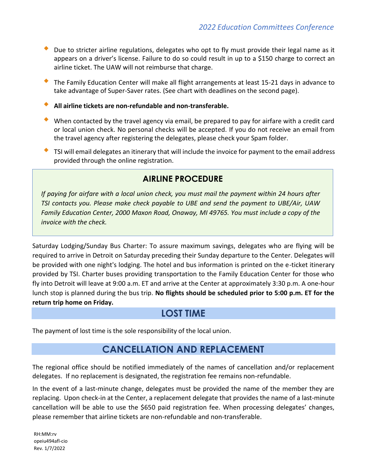- Due to stricter airline regulations, delegates who opt to fly must provide their legal name as it appears on a driver's license. Failure to do so could result in up to a \$150 charge to correct an airline ticket. The UAW will not reimburse that charge.
- The Family Education Center will make all flight arrangements at least 15-21 days in advance to take advantage of Super-Saver rates. (See chart with deadlines on the second page).
- **All airline tickets are non-refundable and non-transferable.**
- When contacted by the travel agency via email, be prepared to pay for airfare with a credit card or local union check. No personal checks will be accepted. If you do not receive an email from the travel agency after registering the delegates, please check your Spam folder.
- TSI will email delegates an itinerary that will include the invoice for payment to the email address provided through the online registration.

## **AIRLINE PROCEDURE**

*If paying for airfare with a local union check, you must mail the payment within 24 hours after TSI contacts you. Please make check payable to UBE and send the payment to UBE/Air, UAW Family Education Center, 2000 Maxon Road, Onaway, MI 49765. You must include a copy of the invoice with the check.*

Saturday Lodging/Sunday Bus Charter: To assure maximum savings, delegates who are flying will be required to arrive in Detroit on Saturday preceding their Sunday departure to the Center. Delegates will be provided with one night's lodging. The hotel and bus information is printed on the e-ticket itinerary provided by TSI. Charter buses providing transportation to the Family Education Center for those who fly into Detroit will leave at 9:00 a.m. ET and arrive at the Center at approximately 3:30 p.m. A one-hour lunch stop is planned during the bus trip. **No flights should be scheduled prior to 5:00 p.m. ET for the return trip home on Friday.**

## **LOST TIME**

The payment of lost time is the sole responsibility of the local union.

## **CANCELLATION AND REPLACEMENT**

The regional office should be notified immediately of the names of cancellation and/or replacement delegates. If no replacement is designated, the registration fee remains non-refundable.

In the event of a last-minute change, delegates must be provided the name of the member they are replacing. Upon check-in at the Center, a replacement delegate that provides the name of a last-minute cancellation will be able to use the \$650 paid registration fee. When processing delegates' changes, please remember that airline tickets are non-refundable and non-transferable.

RH:MM:rv opeiu494afl-cio Rev. 1/7/2022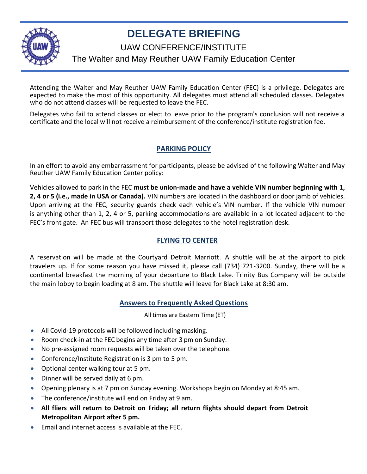

## **DELEGATE BRIEFING**

UAW CONFERENCE/INSTITUTE

## The Walter and May Reuther UAW Family Education Center

Attending the Walter and May Reuther UAW Family Education Center (FEC) is a privilege. Delegates are expected to make the most of this opportunity. All delegates must attend all scheduled classes. Delegates who do not attend classes will be requested to leave the FEC.

Delegates who fail to attend classes or elect to leave prior to the program's conclusion will not receive a certificate and the local will not receive a reimbursement of the conference/institute registration fee.

### **PARKING POLICY**

In an effort to avoid any embarrassment for participants, please be advised of the following Walter and May Reuther UAW Family Education Center policy:

Vehicles allowed to park in the FEC **must be union-made and have a vehicle VIN number beginning with 1, 2, 4 or 5 (i.e., made in USA or Canada).** VIN numbers are located in the dashboard or door jamb of vehicles. Upon arriving at the FEC, security guards check each vehicle's VIN number. If the vehicle VIN number is anything other than 1, 2, 4 or 5, parking accommodations are available in a lot located adjacent to the FEC's front gate. An FEC bus will transport those delegates to the hotel registration desk.

#### **FLYING TO CENTER**

A reservation will be made at the Courtyard Detroit Marriott. A shuttle will be at the airport to pick travelers up. If for some reason you have missed it, please call (734) 721-3200. Sunday, there will be a continental breakfast the morning of your departure to Black Lake. Trinity Bus Company will be outside the main lobby to begin loading at 8 am. The shuttle will leave for Black Lake at 8:30 am.

#### **Answers to Frequently Asked Questions**

All times are Eastern Time (ET)

- All Covid-19 protocols will be followed including masking.
- Room check-in at the FEC begins any time after 3 pm on Sunday.
- No pre-assigned room requests will be taken over the telephone.
- Conference/Institute Registration is 3 pm to 5 pm.
- Optional center walking tour at 5 pm.
- Dinner will be served daily at 6 pm.
- Opening plenary is at 7 pm on Sunday evening. Workshops begin on Monday at 8:45 am.
- The conference/institute will end on Friday at 9 am.
- **All fliers will return to Detroit on Friday; all return flights should depart from Detroit Metropolitan Airport after 5 pm.**
- Email and internet access is available at the FEC.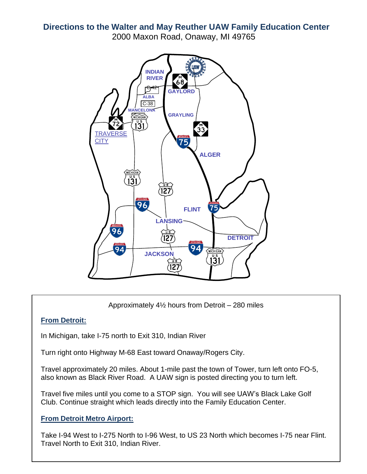**Directions to the Walter and May Reuther UAW Family Education Center** 2000 Maxon Road, Onaway, MI 49765



Approximately 4½ hours from Detroit – 280 miles

#### **From Detroit:**

In Michigan, take I-75 north to Exit 310, Indian River

Turn right onto Highway M-68 East toward Onaway/Rogers City.

Travel approximately 20 miles. About 1-mile past the town of Tower, turn left onto FO-5, also known as Black River Road. A UAW sign is posted directing you to turn left.

Travel five miles until you come to a STOP sign. You will see UAW's Black Lake Golf Club. Continue straight which leads directly into the Family Education Center.

#### **From Detroit Metro Airport:**

Take I-94 West to I-275 North to I-96 West, to US 23 North which becomes I-75 near Flint. Travel North to Exit 310, Indian River.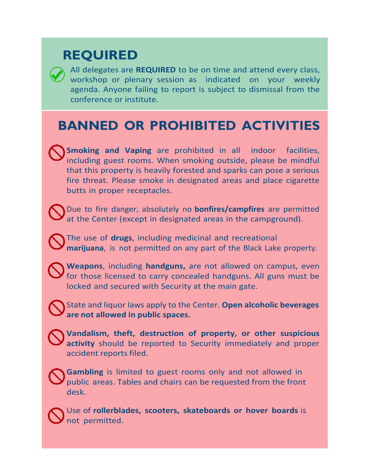## **REQUIRED**

All delegates are **REQUIRED** to be on time and attend every class, workshop or plenary session as indicated on your weekly agenda. Anyone failing to report is subject to dismissal from the conference or institute.

## **BANNED OR PROHIBITED ACTIVITIES**

**Smoking and Vaping** are prohibited in all indoor facilities, including guest rooms. When smoking outside, please be mindful that this property is heavily forested and sparks can pose a serious fire threat. Please smoke in designated areas and place cigarette butts in proper receptacles.

Due to fire danger, absolutely no **bonfires/campfires** are permitted at the Center (except in designated areas in the campground).

The use of **drugs**, including medicinal and recreational **marijuana**, is not permitted on any part of the Black Lake property.

**Weapons**, including **handguns,** are not allowed on campus, even for those licensed to carry concealed handguns. All guns must be locked and secured with Security at the main gate.

State and liquor laws apply to the Center. **Open alcoholic beverages are not allowed in public spaces.**

**Vandalism, theft, destruction of property, or other suspicious activity** should be reported to Security immediately and proper accident reports filed.

**Gambling** is limited to guest rooms only and not allowed in public areas. Tables and chairs can be requested from the front desk.

Use of **rollerblades, scooters, skateboards or hover boards** is not permitted.